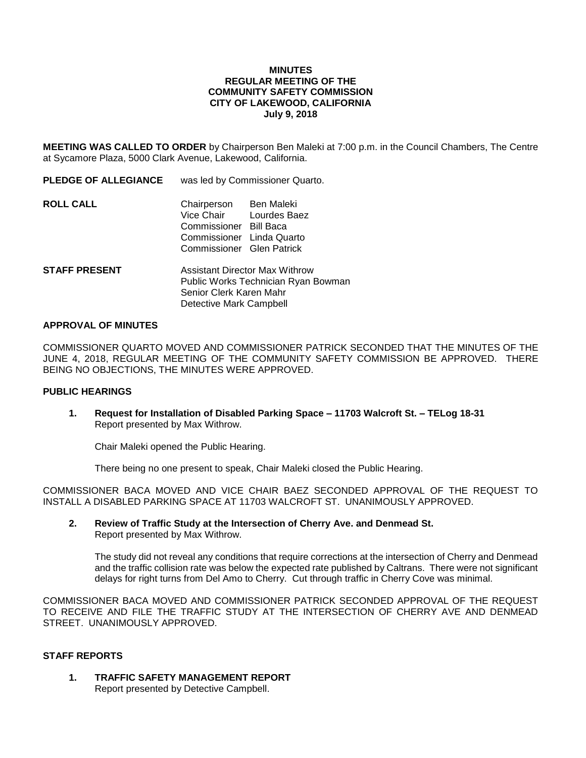#### **MINUTES REGULAR MEETING OF THE COMMUNITY SAFETY COMMISSION CITY OF LAKEWOOD, CALIFORNIA July 9, 2018**

**MEETING WAS CALLED TO ORDER** by Chairperson Ben Maleki at 7:00 p.m. in the Council Chambers, The Centre at Sycamore Plaza, 5000 Clark Avenue, Lakewood, California.

**PLEDGE OF ALLEGIANCE** was led by Commissioner Quarto.

| <b>ROLL CALL</b> | Chairperson               | Ben Maleki |
|------------------|---------------------------|------------|
|                  | Vice Chair Lourdes Baez   |            |
|                  | Commissioner Bill Baca    |            |
|                  | Commissioner Linda Quarto |            |
|                  | Commissioner Glen Patrick |            |
|                  |                           |            |

**STAFF PRESENT** Assistant Director Max Withrow Public Works Technician Ryan Bowman Senior Clerk Karen Mahr Detective Mark Campbell

#### **APPROVAL OF MINUTES**

COMMISSIONER QUARTO MOVED AND COMMISSIONER PATRICK SECONDED THAT THE MINUTES OF THE JUNE 4, 2018, REGULAR MEETING OF THE COMMUNITY SAFETY COMMISSION BE APPROVED. THERE BEING NO OBJECTIONS, THE MINUTES WERE APPROVED.

#### **PUBLIC HEARINGS**

**1. Request for Installation of Disabled Parking Space – 11703 Walcroft St. – TELog 18-31** Report presented by Max Withrow.

Chair Maleki opened the Public Hearing.

There being no one present to speak, Chair Maleki closed the Public Hearing.

COMMISSIONER BACA MOVED AND VICE CHAIR BAEZ SECONDED APPROVAL OF THE REQUEST TO INSTALL A DISABLED PARKING SPACE AT 11703 WALCROFT ST. UNANIMOUSLY APPROVED.

#### **2. Review of Traffic Study at the Intersection of Cherry Ave. and Denmead St.** Report presented by Max Withrow.

The study did not reveal any conditions that require corrections at the intersection of Cherry and Denmead and the traffic collision rate was below the expected rate published by Caltrans. There were not significant delays for right turns from Del Amo to Cherry. Cut through traffic in Cherry Cove was minimal.

COMMISSIONER BACA MOVED AND COMMISSIONER PATRICK SECONDED APPROVAL OF THE REQUEST TO RECEIVE AND FILE THE TRAFFIC STUDY AT THE INTERSECTION OF CHERRY AVE AND DENMEAD STREET. UNANIMOUSLY APPROVED.

#### **STAFF REPORTS**

**1. TRAFFIC SAFETY MANAGEMENT REPORT** Report presented by Detective Campbell.